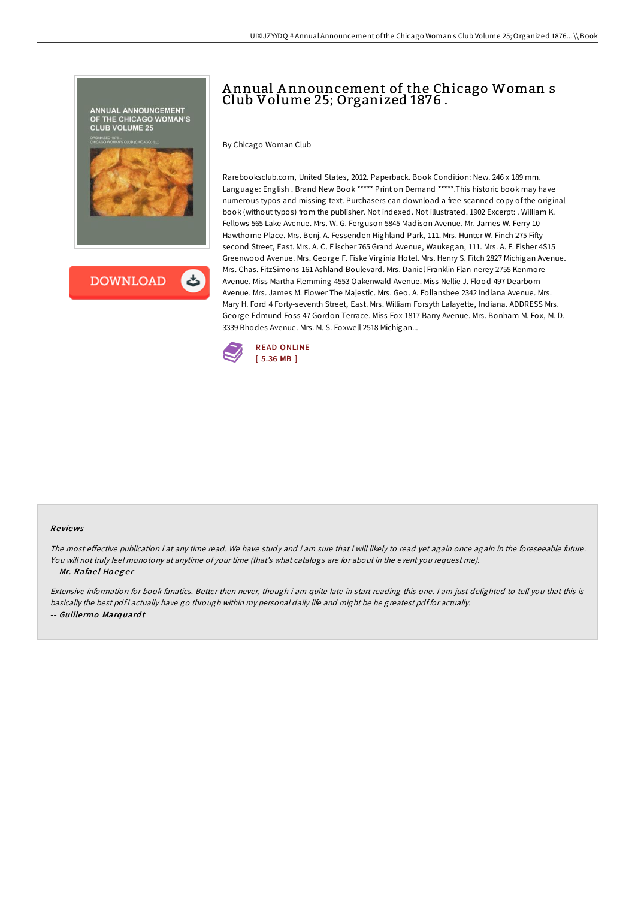



## A nnual A nnouncement of the Chicago Woman s Club Volume 25; Organized 1876 .

By Chicago Woman Club

Rarebooksclub.com, United States, 2012. Paperback. Book Condition: New. 246 x 189 mm. Language: English . Brand New Book \*\*\*\*\* Print on Demand \*\*\*\*\*. This historic book may have numerous typos and missing text. Purchasers can download a free scanned copy of the original book (without typos) from the publisher. Not indexed. Not illustrated. 1902 Excerpt: . William K. Fellows 565 Lake Avenue. Mrs. W. G. Ferguson 5845 Madison Avenue. Mr. James W. Ferry 10 Hawthorne Place. Mrs. Benj. A. Fessenden Highland Park, 111. Mrs. Hunter W. Finch 275 Fiftysecond Street, East. Mrs. A. C. F ischer 765 Grand Avenue, Waukegan, 111. Mrs. A. F. Fisher 4S15 Greenwood Avenue. Mrs. George F. Fiske Virginia Hotel. Mrs. Henry S. Fitch 2827 Michigan Avenue. Mrs. Chas. FitzSimons 161 Ashland Boulevard. Mrs. Daniel Franklin Flan-nerey 2755 Kenmore Avenue. Miss Martha Flemming 4553 Oakenwald Avenue. Miss Nellie J. Flood 497 Dearborn Avenue. Mrs. James M. Flower The Majestic. Mrs. Geo. A. Follansbee 2342 Indiana Avenue. Mrs. Mary H. Ford 4 Forty-seventh Street, East. Mrs. William Forsyth Lafayette, Indiana. ADDRESS Mrs. George Edmund Foss 47 Gordon Terrace. Miss Fox 1817 Barry Avenue. Mrs. Bonham M. Fox, M. D. 3339 Rhodes Avenue. Mrs. M. S. Foxwell 2518 Michigan...



## Re views

The most effective publication i at any time read. We have study and i am sure that i will likely to read yet again once again in the foreseeable future. You will not truly feel monotony at anytime of your time (that's what catalogs are for about in the event you request me). -- Mr. Rafael Hoeger

Extensive information for book fanatics. Better then never, though i am quite late in start reading this one. <sup>I</sup> am just delighted to tell you that this is basically the best pdf i actually have go through within my personal daily life and might be he greatest pdf for actually. -- Guille rmo Marq uard <sup>t</sup>